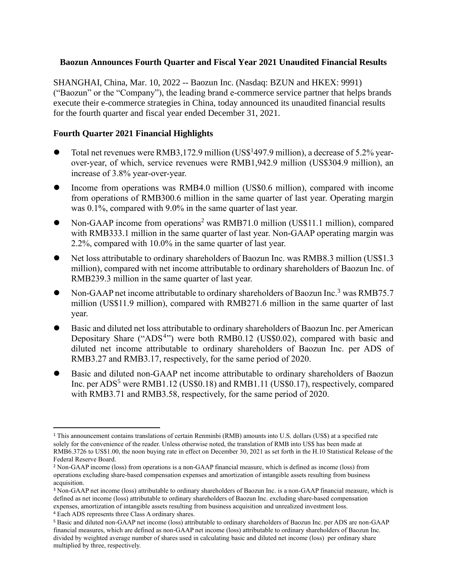## **Baozun Announces Fourth Quarter and Fiscal Year 2021 Unaudited Financial Results**

SHANGHAI, China, Mar. 10, 2022 -- Baozun Inc. (Nasdaq: BZUN and HKEX: 9991) ("Baozun" or the "Company"), the leading brand e-commerce service partner that helps brands execute their e-commerce strategies in China, today announced its unaudited financial results for the fourth quarter and fiscal year ended December 31, 2021.

# **Fourth Quarter 2021 Financial Highlights**

- Total net revenues were RMB3,172.9 million (US\$<sup>1</sup>497.9 million), a decrease of 5.2% yearover-year, of which, service revenues were RMB1,942.9 million (US\$304.9 million), an increase of 3.8% year-over-year.
- ⚫ Income from operations was RMB4.0 million (US\$0.6 million), compared with income from operations of RMB300.6 million in the same quarter of last year. Operating margin was 0.1%, compared with 9.0% in the same quarter of last year.
- Non-GAAP income from operations<sup>2</sup> was RMB71.0 million (US\$11.1 million), compared with RMB333.1 million in the same quarter of last year. Non-GAAP operating margin was 2.2%, compared with 10.0% in the same quarter of last year.
- ⚫ Net loss attributable to ordinary shareholders of Baozun Inc. was RMB8.3 million (US\$1.3 million), compared with net income attributable to ordinary shareholders of Baozun Inc. of RMB239.3 million in the same quarter of last year.
- Non-GAAP net income attributable to ordinary shareholders of Baozun Inc.<sup>3</sup> was RMB75.7 million (US\$11.9 million), compared with RMB271.6 million in the same quarter of last year.
- ⚫ Basic and diluted net loss attributable to ordinary shareholders of Baozun Inc. per American Depositary Share ("ADS<sup>4</sup>") were both RMB0.12 (US\$0.02), compared with basic and diluted net income attributable to ordinary shareholders of Baozun Inc. per ADS of RMB3.27 and RMB3.17, respectively, for the same period of 2020.
- ⚫ Basic and diluted non-GAAP net income attributable to ordinary shareholders of Baozun Inc. per ADS<sup>5</sup> were RMB1.12 (US\$0.18) and RMB1.11 (US\$0.17), respectively, compared with RMB3.71 and RMB3.58, respectively, for the same period of 2020.

<sup>1</sup> This announcement contains translations of certain Renminbi (RMB) amounts into U.S. dollars (US\$) at a specified rate solely for the convenience of the reader. Unless otherwise noted, the translation of RMB into US\$ has been made at RMB6.3726 to US\$1.00, the noon buying rate in effect on December 30, 2021 as set forth in the H.10 Statistical Release of the Federal Reserve Board.

<sup>2</sup> Non-GAAP income (loss) from operations is a non-GAAP financial measure, which is defined as income (loss) from operations excluding share-based compensation expenses and amortization of intangible assets resulting from business acquisition.

<sup>3</sup> Non-GAAP net income (loss) attributable to ordinary shareholders of Baozun Inc. is a non-GAAP financial measure, which is defined as net income (loss) attributable to ordinary shareholders of Baozun Inc. excluding share-based compensation expenses, amortization of intangible assets resulting from business acquisition and unrealized investment loss. <sup>4</sup> Each ADS represents three Class A ordinary shares.

<sup>5</sup> Basic and diluted non-GAAP net income (loss) attributable to ordinary shareholders of Baozun Inc. per ADS are non-GAAP financial measures, which are defined as non-GAAP net income (loss) attributable to ordinary shareholders of Baozun Inc. divided by weighted average number of shares used in calculating basic and diluted net income (loss) per ordinary share multiplied by three, respectively.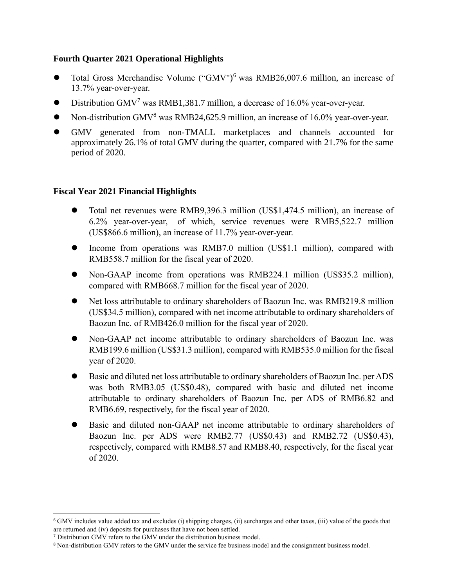# **Fourth Quarter 2021 Operational Highlights**

- Total Gross Merchandise Volume ("GMV")<sup>6</sup> was RMB26,007.6 million, an increase of 13.7% year-over-year.
- $\bullet$  Distribution GMV<sup>7</sup> was RMB1,381.7 million, a decrease of 16.0% year-over-year.
- $\bullet$  Non-distribution GMV<sup>8</sup> was RMB24,625.9 million, an increase of 16.0% year-over-year.
- ⚫ GMV generated from non-TMALL marketplaces and channels accounted for approximately 26.1% of total GMV during the quarter, compared with 21.7% for the same period of 2020.

# **Fiscal Year 2021 Financial Highlights**

- ⚫ Total net revenues were RMB9,396.3 million (US\$1,474.5 million), an increase of 6.2% year-over-year, of which, service revenues were RMB5,522.7 million (US\$866.6 million), an increase of 11.7% year-over-year.
- Income from operations was RMB7.0 million (US\$1.1 million), compared with RMB558.7 million for the fiscal year of 2020.
- Non-GAAP income from operations was RMB224.1 million (US\$35.2 million), compared with RMB668.7 million for the fiscal year of 2020.
- ⚫ Net loss attributable to ordinary shareholders of Baozun Inc. was RMB219.8 million (US\$34.5 million), compared with net income attributable to ordinary shareholders of Baozun Inc. of RMB426.0 million for the fiscal year of 2020.
- ⚫ Non-GAAP net income attributable to ordinary shareholders of Baozun Inc. was RMB199.6 million (US\$31.3 million), compared with RMB535.0 million for the fiscal year of 2020.
- ⚫ Basic and diluted net loss attributable to ordinary shareholders of Baozun Inc. per ADS was both RMB3.05 (US\$0.48), compared with basic and diluted net income attributable to ordinary shareholders of Baozun Inc. per ADS of RMB6.82 and RMB6.69, respectively, for the fiscal year of 2020.
- ⚫ Basic and diluted non-GAAP net income attributable to ordinary shareholders of Baozun Inc. per ADS were RMB2.77 (US\$0.43) and RMB2.72 (US\$0.43), respectively, compared with RMB8.57 and RMB8.40, respectively, for the fiscal year of 2020.

<sup>6</sup> GMV includes value added tax and excludes (i) shipping charges, (ii) surcharges and other taxes, (iii) value of the goods that are returned and (iv) deposits for purchases that have not been settled.

<sup>7</sup> Distribution GMV refers to the GMV under the distribution business model.

<sup>8</sup> Non-distribution GMV refers to the GMV under the service fee business model and the consignment business model.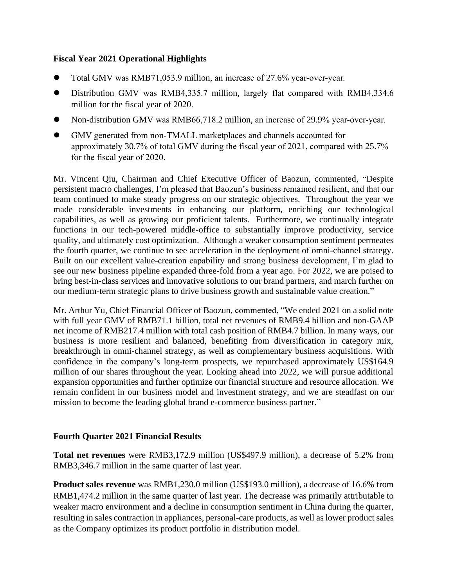# **Fiscal Year 2021 Operational Highlights**

- ⚫ Total GMV was RMB71,053.9 million, an increase of 27.6% year-over-year.
- ⚫ Distribution GMV was RMB4,335.7 million, largely flat compared with RMB4,334.6 million for the fiscal year of 2020.
- ⚫ Non-distribution GMV was RMB66,718.2 million, an increase of 29.9% year-over-year.
- ⚫ GMV generated from non-TMALL marketplaces and channels accounted for approximately 30.7% of total GMV during the fiscal year of 2021, compared with 25.7% for the fiscal year of 2020.

Mr. Vincent Qiu, Chairman and Chief Executive Officer of Baozun, commented, "Despite persistent macro challenges, I'm pleased that Baozun's business remained resilient, and that our team continued to make steady progress on our strategic objectives. Throughout the year we made considerable investments in enhancing our platform, enriching our technological capabilities, as well as growing our proficient talents. Furthermore, we continually integrate functions in our tech-powered middle-office to substantially improve productivity, service quality, and ultimately cost optimization. Although a weaker consumption sentiment permeates the fourth quarter, we continue to see acceleration in the deployment of omni-channel strategy. Built on our excellent value-creation capability and strong business development, I'm glad to see our new business pipeline expanded three-fold from a year ago. For 2022, we are poised to bring best-in-class services and innovative solutions to our brand partners, and march further on our medium-term strategic plans to drive business growth and sustainable value creation."

Mr. Arthur Yu, Chief Financial Officer of Baozun, commented, "We ended 2021 on a solid note with full year GMV of RMB71.1 billion, total net revenues of RMB9.4 billion and non-GAAP net income of RMB217.4 million with total cash position of RMB4.7 billion. In many ways, our business is more resilient and balanced, benefiting from diversification in category mix, breakthrough in omni-channel strategy, as well as complementary business acquisitions. With confidence in the company's long-term prospects, we repurchased approximately US\$164.9 million of our shares throughout the year. Looking ahead into 2022, we will pursue additional expansion opportunities and further optimize our financial structure and resource allocation. We remain confident in our business model and investment strategy, and we are steadfast on our mission to become the leading global brand e-commerce business partner."

# **Fourth Quarter 2021 Financial Results**

**Total net revenues** were RMB3,172.9 million (US\$497.9 million), a decrease of 5.2% from RMB3,346.7 million in the same quarter of last year.

**Product sales revenue** was RMB1,230.0 million (US\$193.0 million), a decrease of 16.6% from RMB1,474.2 million in the same quarter of last year. The decrease was primarily attributable to weaker macro environment and a decline in consumption sentiment in China during the quarter, resulting in sales contraction in appliances, personal-care products, as well as lower product sales as the Company optimizes its product portfolio in distribution model.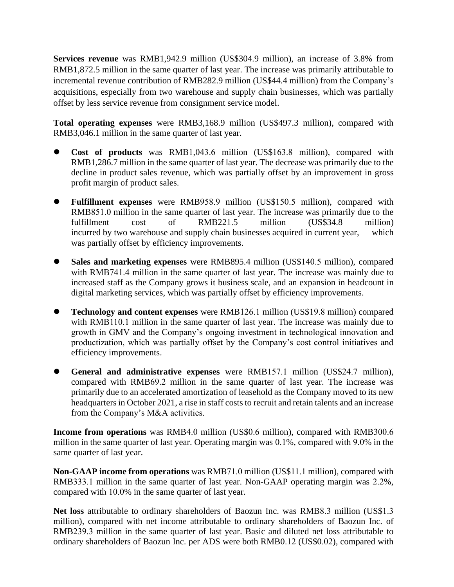**Services revenue** was RMB1,942.9 million (US\$304.9 million), an increase of 3.8% from RMB1,872.5 million in the same quarter of last year. The increase was primarily attributable to incremental revenue contribution of RMB282.9 million (US\$44.4 million) from the Company's acquisitions, especially from two warehouse and supply chain businesses, which was partially offset by less service revenue from consignment service model.

**Total operating expenses** were RMB3,168.9 million (US\$497.3 million), compared with RMB3,046.1 million in the same quarter of last year.

- ⚫ **Cost of products** was RMB1,043.6 million (US\$163.8 million), compared with RMB1,286.7 million in the same quarter of last year. The decrease was primarily due to the decline in product sales revenue, which was partially offset by an improvement in gross profit margin of product sales.
- ⚫ **Fulfillment expenses** were RMB958.9 million (US\$150.5 million), compared with RMB851.0 million in the same quarter of last year. The increase was primarily due to the fulfillment cost of RMB221.5 million (US\$34.8 million) incurred by two warehouse and supply chain businesses acquired in current year, which was partially offset by efficiency improvements.
- ⚫ **Sales and marketing expenses** were RMB895.4 million (US\$140.5 million), compared with RMB741.4 million in the same quarter of last year. The increase was mainly due to increased staff as the Company grows it business scale, and an expansion in headcount in digital marketing services, which was partially offset by efficiency improvements.
- ⚫ **Technology and content expenses** were RMB126.1 million (US\$19.8 million) compared with RMB110.1 million in the same quarter of last year. The increase was mainly due to growth in GMV and the Company's ongoing investment in technological innovation and productization, which was partially offset by the Company's cost control initiatives and efficiency improvements.
- General and administrative expenses were RMB157.1 million (US\$24.7 million), compared with RMB69.2 million in the same quarter of last year. The increase was primarily due to an accelerated amortization of leasehold as the Company moved to its new headquarters in October 2021, a rise in staff costs to recruit and retain talents and an increase from the Company's M&A activities.

**Income from operations** was RMB4.0 million (US\$0.6 million), compared with RMB300.6 million in the same quarter of last year. Operating margin was 0.1%, compared with 9.0% in the same quarter of last year.

**Non-GAAP income from operations** was RMB71.0 million (US\$11.1 million), compared with RMB333.1 million in the same quarter of last year. Non-GAAP operating margin was 2.2%, compared with 10.0% in the same quarter of last year.

**Net loss** attributable to ordinary shareholders of Baozun Inc. was RMB8.3 million (US\$1.3 million), compared with net income attributable to ordinary shareholders of Baozun Inc. of RMB239.3 million in the same quarter of last year. Basic and diluted net loss attributable to ordinary shareholders of Baozun Inc. per ADS were both RMB0.12 (US\$0.02), compared with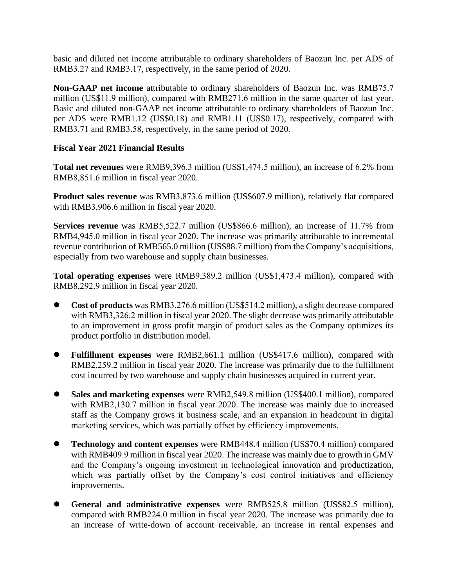basic and diluted net income attributable to ordinary shareholders of Baozun Inc. per ADS of RMB3.27 and RMB3.17, respectively, in the same period of 2020.

**Non-GAAP net income** attributable to ordinary shareholders of Baozun Inc. was RMB75.7 million (US\$11.9 million), compared with RMB271.6 million in the same quarter of last year. Basic and diluted non-GAAP net income attributable to ordinary shareholders of Baozun Inc. per ADS were RMB1.12 (US\$0.18) and RMB1.11 (US\$0.17), respectively, compared with RMB3.71 and RMB3.58, respectively, in the same period of 2020.

# **Fiscal Year 2021 Financial Results**

**Total net revenues** were RMB9,396.3 million (US\$1,474.5 million), an increase of 6.2% from RMB8,851.6 million in fiscal year 2020.

**Product sales revenue** was RMB3,873.6 million (US\$607.9 million), relatively flat compared with RMB3,906.6 million in fiscal year 2020.

**Services revenue** was RMB5,522.7 million (US\$866.6 million), an increase of 11.7% from RMB4,945.0 million in fiscal year 2020. The increase was primarily attributable to incremental revenue contribution of RMB565.0 million (US\$88.7 million) from the Company's acquisitions, especially from two warehouse and supply chain businesses.

**Total operating expenses** were RMB9,389.2 million (US\$1,473.4 million), compared with RMB8,292.9 million in fiscal year 2020.

- **Cost of products** was RMB3,276.6 million (US\$514.2 million), a slight decrease compared with RMB3,326.2 million in fiscal year 2020. The slight decrease was primarily attributable to an improvement in gross profit margin of product sales as the Company optimizes its product portfolio in distribution model.
- ⚫ **Fulfillment expenses** were RMB2,661.1 million (US\$417.6 million), compared with RMB2,259.2 million in fiscal year 2020. The increase was primarily due to the fulfillment cost incurred by two warehouse and supply chain businesses acquired in current year.
- ⚫ **Sales and marketing expenses** were RMB2,549.8 million (US\$400.1 million), compared with RMB2,130.7 million in fiscal year 2020. The increase was mainly due to increased staff as the Company grows it business scale, and an expansion in headcount in digital marketing services, which was partially offset by efficiency improvements.
- ⚫ **Technology and content expenses** were RMB448.4 million (US\$70.4 million) compared with RMB409.9 million in fiscal year 2020. The increase was mainly due to growth in GMV and the Company's ongoing investment in technological innovation and productization, which was partially offset by the Company's cost control initiatives and efficiency improvements.
- General and administrative expenses were RMB525.8 million (US\$82.5 million), compared with RMB224.0 million in fiscal year 2020. The increase was primarily due to an increase of write-down of account receivable, an increase in rental expenses and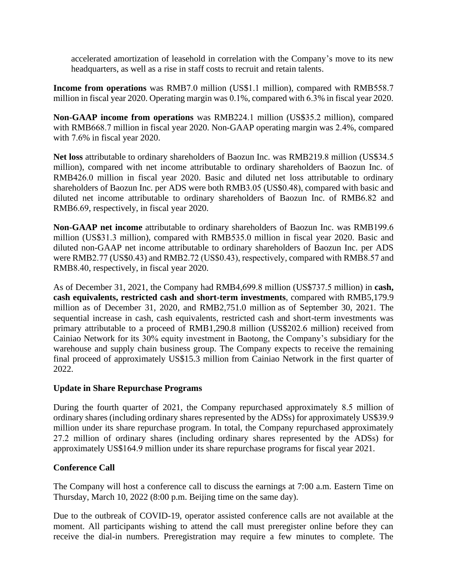accelerated amortization of leasehold in correlation with the Company's move to its new headquarters, as well as a rise in staff costs to recruit and retain talents.

**Income from operations** was RMB7.0 million (US\$1.1 million), compared with RMB558.7 million in fiscal year 2020. Operating margin was 0.1%, compared with 6.3% in fiscal year 2020.

**Non-GAAP income from operations** was RMB224.1 million (US\$35.2 million), compared with RMB668.7 million in fiscal year 2020. Non-GAAP operating margin was 2.4%, compared with 7.6% in fiscal year 2020.

**Net loss** attributable to ordinary shareholders of Baozun Inc. was RMB219.8 million (US\$34.5 million), compared with net income attributable to ordinary shareholders of Baozun Inc. of RMB426.0 million in fiscal year 2020. Basic and diluted net loss attributable to ordinary shareholders of Baozun Inc. per ADS were both RMB3.05 (US\$0.48), compared with basic and diluted net income attributable to ordinary shareholders of Baozun Inc. of RMB6.82 and RMB6.69, respectively, in fiscal year 2020.

**Non-GAAP net income** attributable to ordinary shareholders of Baozun Inc. was RMB199.6 million (US\$31.3 million), compared with RMB535.0 million in fiscal year 2020. Basic and diluted non-GAAP net income attributable to ordinary shareholders of Baozun Inc. per ADS were RMB2.77 (US\$0.43) and RMB2.72 (US\$0.43), respectively, compared with RMB8.57 and RMB8.40, respectively, in fiscal year 2020.

As of December 31, 2021, the Company had RMB4,699.8 million (US\$737.5 million) in **cash, cash equivalents, restricted cash and short-term investments**, compared with RMB5,179.9 million as of December 31, 2020, and RMB2,751.0 million as of September 30, 2021. The sequential increase in cash, cash equivalents, restricted cash and short-term investments was primary attributable to a proceed of RMB1,290.8 million (US\$202.6 million) received from Cainiao Network for its 30% equity investment in Baotong, the Company's subsidiary for the warehouse and supply chain business group. The Company expects to receive the remaining final proceed of approximately US\$15.3 million from Cainiao Network in the first quarter of 2022.

### **Update in Share Repurchase Programs**

During the fourth quarter of 2021, the Company repurchased approximately 8.5 million of ordinary shares (including ordinary shares represented by the ADSs) for approximately US\$39.9 million under its share repurchase program. In total, the Company repurchased approximately 27.2 million of ordinary shares (including ordinary shares represented by the ADSs) for approximately US\$164.9 million under its share repurchase programs for fiscal year 2021.

# **Conference Call**

The Company will host a conference call to discuss the earnings at 7:00 a.m. Eastern Time on Thursday, March 10, 2022 (8:00 p.m. Beijing time on the same day).

Due to the outbreak of COVID-19, operator assisted conference calls are not available at the moment. All participants wishing to attend the call must preregister online before they can receive the dial-in numbers. Preregistration may require a few minutes to complete. The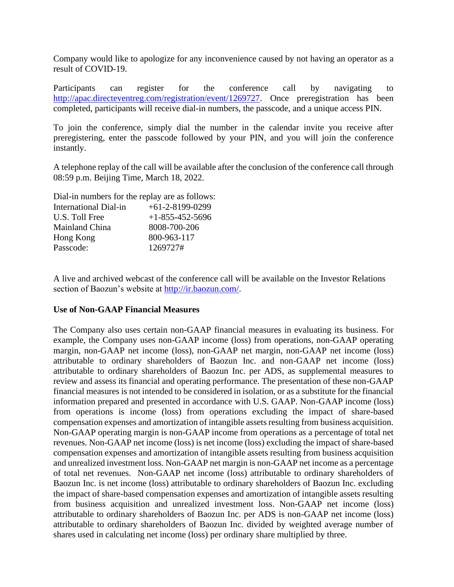Company would like to apologize for any inconvenience caused by not having an operator as a result of COVID-19.

Participants can register for the conference call by navigating to [http://apac.directeventreg.com/registration/event/1269727.](http://apac.directeventreg.com/registration/event/1269727) Once preregistration has been completed, participants will receive dial-in numbers, the passcode, and a unique access PIN.

To join the conference, simply dial the number in the calendar invite you receive after preregistering, enter the passcode followed by your PIN, and you will join the conference instantly.

A telephone replay of the call will be available after the conclusion of the conference call through 08:59 p.m. Beijing Time, March 18, 2022.

Dial-in numbers for the replay are as follows:

| <b>International Dial-in</b> | $+61-2-8199-0299$       |
|------------------------------|-------------------------|
| U.S. Toll Free               | $+1 - 855 - 452 - 5696$ |
| Mainland China               | 8008-700-206            |
| Hong Kong                    | 800-963-117             |
| Passcode:                    | 1269727#                |

A live and archived webcast of the conference call will be available on the Investor Relations section of Baozun's website at [http://ir.baozun.com/.](http://ir.baozun.com/)

### **Use of Non-GAAP Financial Measures**

The Company also uses certain non-GAAP financial measures in evaluating its business. For example, the Company uses non-GAAP income (loss) from operations, non-GAAP operating margin, non-GAAP net income (loss), non-GAAP net margin, non-GAAP net income (loss) attributable to ordinary shareholders of Baozun Inc. and non-GAAP net income (loss) attributable to ordinary shareholders of Baozun Inc. per ADS, as supplemental measures to review and assess its financial and operating performance. The presentation of these non-GAAP financial measures is not intended to be considered in isolation, or as a substitute for the financial information prepared and presented in accordance with U.S. GAAP. Non-GAAP income (loss) from operations is income (loss) from operations excluding the impact of share-based compensation expenses and amortization of intangible assets resulting from business acquisition. Non-GAAP operating margin is non-GAAP income from operations as a percentage of total net revenues. Non-GAAP net income (loss) is net income (loss) excluding the impact of share-based compensation expenses and amortization of intangible assets resulting from business acquisition and unrealized investment loss. Non-GAAP net margin is non-GAAP net income as a percentage of total net revenues. Non-GAAP net income (loss) attributable to ordinary shareholders of Baozun Inc. is net income (loss) attributable to ordinary shareholders of Baozun Inc. excluding the impact of share-based compensation expenses and amortization of intangible assets resulting from business acquisition and unrealized investment loss. Non-GAAP net income (loss) attributable to ordinary shareholders of Baozun Inc. per ADS is non-GAAP net income (loss) attributable to ordinary shareholders of Baozun Inc. divided by weighted average number of shares used in calculating net income (loss) per ordinary share multiplied by three.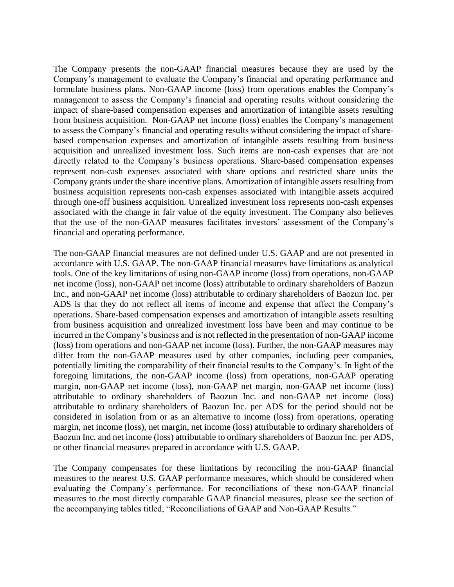The Company presents the non-GAAP financial measures because they are used by the Company's management to evaluate the Company's financial and operating performance and formulate business plans. Non-GAAP income (loss) from operations enables the Company's management to assess the Company's financial and operating results without considering the impact of share-based compensation expenses and amortization of intangible assets resulting from business acquisition. Non-GAAP net income (loss) enables the Company's management to assess the Company's financial and operating results without considering the impact of sharebased compensation expenses and amortization of intangible assets resulting from business acquisition and unrealized investment loss. Such items are non-cash expenses that are not directly related to the Company's business operations. Share-based compensation expenses represent non-cash expenses associated with share options and restricted share units the Company grants under the share incentive plans. Amortization of intangible assets resulting from business acquisition represents non-cash expenses associated with intangible assets acquired through one-off business acquisition. Unrealized investment loss represents non-cash expenses associated with the change in fair value of the equity investment. The Company also believes that the use of the non-GAAP measures facilitates investors' assessment of the Company's financial and operating performance.

The non-GAAP financial measures are not defined under U.S. GAAP and are not presented in accordance with U.S. GAAP. The non-GAAP financial measures have limitations as analytical tools. One of the key limitations of using non-GAAP income (loss) from operations, non-GAAP net income (loss), non-GAAP net income (loss) attributable to ordinary shareholders of Baozun Inc., and non-GAAP net income (loss) attributable to ordinary shareholders of Baozun Inc. per ADS is that they do not reflect all items of income and expense that affect the Company's operations. Share-based compensation expenses and amortization of intangible assets resulting from business acquisition and unrealized investment loss have been and may continue to be incurred in the Company's business and is not reflected in the presentation of non-GAAP income (loss) from operations and non-GAAP net income (loss). Further, the non-GAAP measures may differ from the non-GAAP measures used by other companies, including peer companies, potentially limiting the comparability of their financial results to the Company's. In light of the foregoing limitations, the non-GAAP income (loss) from operations, non-GAAP operating margin, non-GAAP net income (loss), non-GAAP net margin, non-GAAP net income (loss) attributable to ordinary shareholders of Baozun Inc. and non-GAAP net income (loss) attributable to ordinary shareholders of Baozun Inc. per ADS for the period should not be considered in isolation from or as an alternative to income (loss) from operations, operating margin, net income (loss), net margin, net income (loss) attributable to ordinary shareholders of Baozun Inc. and net income (loss) attributable to ordinary shareholders of Baozun Inc. per ADS, or other financial measures prepared in accordance with U.S. GAAP.

The Company compensates for these limitations by reconciling the non-GAAP financial measures to the nearest U.S. GAAP performance measures, which should be considered when evaluating the Company's performance. For reconciliations of these non-GAAP financial measures to the most directly comparable GAAP financial measures, please see the section of the accompanying tables titled, "Reconciliations of GAAP and Non-GAAP Results."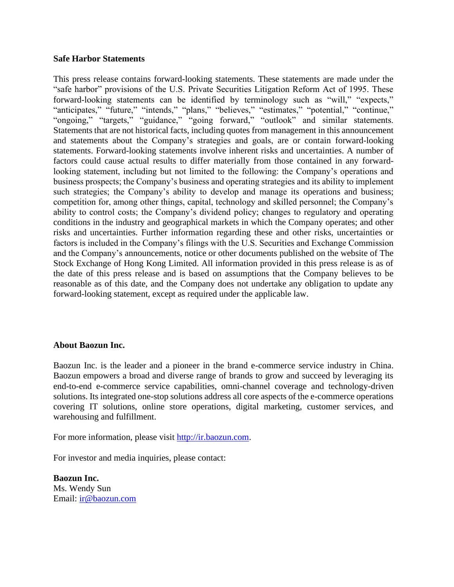#### **Safe Harbor Statements**

This press release contains forward-looking statements. These statements are made under the "safe harbor" provisions of the U.S. Private Securities Litigation Reform Act of 1995. These forward-looking statements can be identified by terminology such as "will," "expects," "anticipates," "future," "intends," "plans," "believes," "estimates," "potential," "continue," "ongoing," "targets," "guidance," "going forward," "outlook" and similar statements. Statements that are not historical facts, including quotes from management in this announcement and statements about the Company's strategies and goals, are or contain forward-looking statements. Forward-looking statements involve inherent risks and uncertainties. A number of factors could cause actual results to differ materially from those contained in any forwardlooking statement, including but not limited to the following: the Company's operations and business prospects; the Company's business and operating strategies and its ability to implement such strategies; the Company's ability to develop and manage its operations and business; competition for, among other things, capital, technology and skilled personnel; the Company's ability to control costs; the Company's dividend policy; changes to regulatory and operating conditions in the industry and geographical markets in which the Company operates; and other risks and uncertainties. Further information regarding these and other risks, uncertainties or factors is included in the Company's filings with the U.S. Securities and Exchange Commission and the Company's announcements, notice or other documents published on the website of The Stock Exchange of Hong Kong Limited. All information provided in this press release is as of the date of this press release and is based on assumptions that the Company believes to be reasonable as of this date, and the Company does not undertake any obligation to update any forward-looking statement, except as required under the applicable law.

### **About Baozun Inc.**

Baozun Inc. is the leader and a pioneer in the brand e-commerce service industry in China. Baozun empowers a broad and diverse range of brands to grow and succeed by leveraging its end-to-end e-commerce service capabilities, omni-channel coverage and technology-driven solutions. Its integrated one-stop solutions address all core aspects of the e-commerce operations covering IT solutions, online store operations, digital marketing, customer services, and warehousing and fulfillment.

For more information, please visit [http://ir.baozun.com.](http://ir.baozun.com/)

For investor and media inquiries, please contact:

**Baozun Inc.** Ms. Wendy Sun Email: [ir@baozun.com](mailto:ir@baozun.com)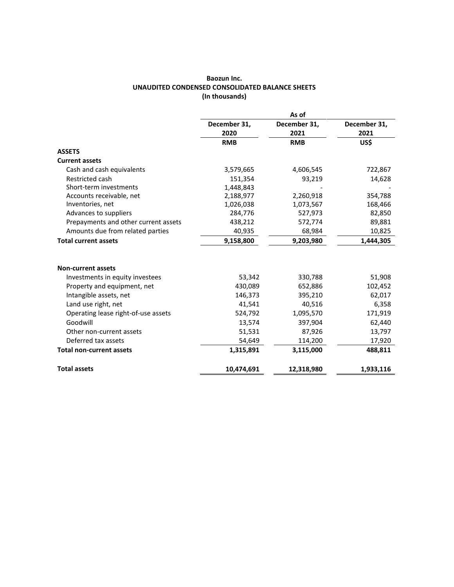#### **Baozun Inc. UNAUDITED CONDENSED CONSOLIDATED BALANCE SHEETS (In thousands)**

|                                      |              | As of        |              |  |
|--------------------------------------|--------------|--------------|--------------|--|
|                                      | December 31, | December 31, | December 31, |  |
|                                      | 2020         | 2021         | 2021         |  |
|                                      | <b>RMB</b>   | <b>RMB</b>   | US\$         |  |
| <b>ASSETS</b>                        |              |              |              |  |
| <b>Current assets</b>                |              |              |              |  |
| Cash and cash equivalents            | 3,579,665    | 4,606,545    | 722,867      |  |
| Restricted cash                      | 151,354      | 93,219       | 14,628       |  |
| Short-term investments               | 1,448,843    |              |              |  |
| Accounts receivable, net             | 2,188,977    | 2,260,918    | 354,788      |  |
| Inventories, net                     | 1,026,038    | 1,073,567    | 168,466      |  |
| Advances to suppliers                | 284,776      | 527,973      | 82,850       |  |
| Prepayments and other current assets | 438,212      | 572,774      | 89,881       |  |
| Amounts due from related parties     | 40,935       | 68,984       | 10,825       |  |
| <b>Total current assets</b>          | 9,158,800    | 9,203,980    | 1,444,305    |  |
|                                      |              |              |              |  |
| <b>Non-current assets</b>            |              |              |              |  |
| Investments in equity investees      | 53,342       | 330,788      | 51,908       |  |
| Property and equipment, net          | 430,089      | 652,886      | 102,452      |  |
| Intangible assets, net               | 146,373      | 395,210      | 62,017       |  |
| Land use right, net                  | 41,541       | 40,516       | 6,358        |  |
| Operating lease right-of-use assets  | 524,792      | 1,095,570    | 171,919      |  |
| Goodwill                             | 13,574       | 397,904      | 62,440       |  |
| Other non-current assets             | 51,531       | 87,926       | 13,797       |  |
| Deferred tax assets                  | 54,649       | 114,200      | 17,920       |  |
| <b>Total non-current assets</b>      | 1,315,891    | 3,115,000    | 488,811      |  |
| <b>Total assets</b>                  | 10,474,691   | 12,318,980   | 1,933,116    |  |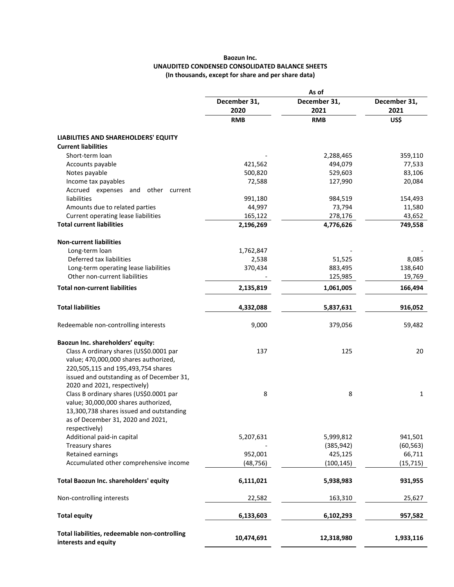#### **Baozun Inc. UNAUDITED CONDENSED CONSOLIDATED BALANCE SHEETS (In thousands, except for share and per share data)**

|                                                                                                                                                                                                     |                      | As of                |                      |
|-----------------------------------------------------------------------------------------------------------------------------------------------------------------------------------------------------|----------------------|----------------------|----------------------|
|                                                                                                                                                                                                     | December 31,<br>2020 | December 31,<br>2021 | December 31,<br>2021 |
|                                                                                                                                                                                                     | <b>RMB</b>           | <b>RMB</b>           | US\$                 |
| LIABILITIES AND SHAREHOLDERS' EQUITY<br><b>Current liabilities</b>                                                                                                                                  |                      |                      |                      |
| Short-term loan                                                                                                                                                                                     |                      | 2,288,465            | 359,110              |
| Accounts payable                                                                                                                                                                                    | 421,562              | 494,079              | 77,533               |
| Notes payable                                                                                                                                                                                       | 500,820              | 529,603              | 83,106               |
| Income tax payables                                                                                                                                                                                 | 72,588               | 127,990              | 20,084               |
| Accrued expenses and other current                                                                                                                                                                  |                      |                      |                      |
| liabilities                                                                                                                                                                                         | 991,180              | 984,519              | 154,493              |
| Amounts due to related parties                                                                                                                                                                      | 44,997               | 73,794               | 11,580               |
| Current operating lease liabilities                                                                                                                                                                 | 165,122              | 278,176              | 43,652               |
| <b>Total current liabilities</b>                                                                                                                                                                    | 2,196,269            | 4,776,626            | 749,558              |
| <b>Non-current liabilities</b>                                                                                                                                                                      |                      |                      |                      |
| Long-term loan                                                                                                                                                                                      | 1,762,847            |                      |                      |
| Deferred tax liabilities                                                                                                                                                                            | 2,538                | 51,525               | 8,085                |
| Long-term operating lease liabilities                                                                                                                                                               | 370,434              | 883,495              | 138,640              |
| Other non-current liabilities                                                                                                                                                                       |                      | 125,985              | 19,769               |
| <b>Total non-current liabilities</b>                                                                                                                                                                | 2,135,819            | 1,061,005            | 166,494              |
| <b>Total liabilities</b>                                                                                                                                                                            | 4,332,088            | 5,837,631            | 916,052              |
| Redeemable non-controlling interests                                                                                                                                                                | 9,000                | 379,056              | 59,482               |
| Baozun Inc. shareholders' equity:                                                                                                                                                                   |                      |                      |                      |
| Class A ordinary shares (US\$0.0001 par<br>value; 470,000,000 shares authorized,<br>220,505,115 and 195,493,754 shares<br>issued and outstanding as of December 31,<br>2020 and 2021, respectively) | 137                  | 125                  | 20                   |
| Class B ordinary shares (US\$0.0001 par<br>value; 30,000,000 shares authorized,<br>13,300,738 shares issued and outstanding<br>as of December 31, 2020 and 2021,<br>respectively)                   | 8                    | 8                    | $\mathbf{1}$         |
| Additional paid-in capital                                                                                                                                                                          | 5,207,631            | 5,999,812            | 941,501              |
| Treasury shares                                                                                                                                                                                     |                      | (385, 942)           | (60, 563)            |
| Retained earnings                                                                                                                                                                                   | 952,001              | 425,125              | 66,711               |
| Accumulated other comprehensive income                                                                                                                                                              | (48, 756)            | (100,145)            | (15, 715)            |
| Total Baozun Inc. shareholders' equity                                                                                                                                                              | 6,111,021            | 5,938,983            | 931,955              |
| Non-controlling interests                                                                                                                                                                           | 22,582               | 163,310              | 25,627               |
| <b>Total equity</b>                                                                                                                                                                                 | 6,133,603            | 6,102,293            | 957,582              |
| Total liabilities, redeemable non-controlling<br>interests and equity                                                                                                                               | 10,474,691           | 12,318,980           | 1,933,116            |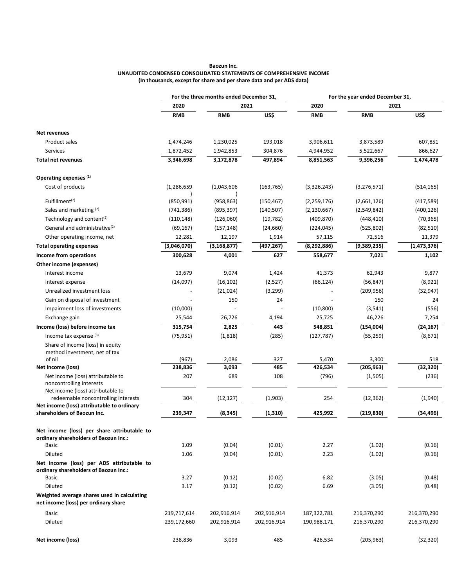#### **Baozun Inc. UNAUDITED CONDENSED CONSOLIDATED STATEMENTS OF COMPREHENSIVE INCOME (In thousands, except for share and per share data and per ADS data)**

|                                                                                      | For the three months ended December 31, |               |             | For the year ended December 31, |               |               |  |
|--------------------------------------------------------------------------------------|-----------------------------------------|---------------|-------------|---------------------------------|---------------|---------------|--|
|                                                                                      | 2020                                    | 2021          |             | 2020                            | 2021          |               |  |
|                                                                                      | <b>RMB</b>                              | <b>RMB</b>    | US\$        | <b>RMB</b>                      | <b>RMB</b>    | US\$          |  |
| <b>Net revenues</b>                                                                  |                                         |               |             |                                 |               |               |  |
| Product sales                                                                        | 1,474,246                               | 1,230,025     | 193,018     | 3,906,611                       | 3,873,589     | 607,851       |  |
| Services                                                                             | 1,872,452                               | 1,942,853     | 304,876     | 4,944,952                       | 5,522,667     | 866,627       |  |
| <b>Total net revenues</b>                                                            | 3,346,698                               | 3,172,878     | 497,894     | 8,851,563                       | 9,396,256     | 1,474,478     |  |
| Operating expenses (1)                                                               |                                         |               |             |                                 |               |               |  |
| Cost of products                                                                     | (1, 286, 659)                           | (1,043,606)   | (163, 765)  | (3,326,243)                     | (3, 276, 571) | (514, 165)    |  |
| Fulfillment <sup><math>(2)</math></sup>                                              | (850, 991)                              | (958, 863)    | (150, 467)  | (2,259,176)                     | (2,661,126)   | (417,589)     |  |
| Sales and marketing <sup>(2)</sup>                                                   | (741, 386)                              | (895, 397)    | (140, 507)  | (2, 130, 667)                   | (2,549,842)   | (400, 126)    |  |
| Technology and content <sup>(2)</sup>                                                | (110, 148)                              | (126,060)     | (19, 782)   | (409, 870)                      | (448, 410)    | (70, 365)     |  |
| General and administrative <sup>(2)</sup>                                            | (69, 167)                               | (157, 148)    | (24, 660)   | (224, 045)                      | (525, 802)    | (82, 510)     |  |
| Other operating income, net                                                          | 12,281                                  | 12,197        | 1,914       | 57,115                          | 72,516        | 11,379        |  |
| <b>Total operating expenses</b>                                                      | (3,046,070)                             | (3, 168, 877) | (497, 267)  | (8,292,886)                     | (9,389,235)   | (1, 473, 376) |  |
| Income from operations                                                               | 300,628                                 | 4,001         | 627         | 558,677                         | 7,021         | 1,102         |  |
| Other income (expenses)                                                              |                                         |               |             |                                 |               |               |  |
| Interest income                                                                      | 13,679                                  | 9,074         | 1,424       | 41,373                          | 62,943        | 9,877         |  |
| Interest expense                                                                     | (14,097)                                | (16, 102)     | (2,527)     | (66, 124)                       | (56, 847)     | (8,921)       |  |
| Unrealized investment loss                                                           |                                         | (21, 024)     | (3, 299)    |                                 | (209, 956)    | (32, 947)     |  |
| Gain on disposal of investment                                                       |                                         | 150           | 24          |                                 | 150           | 24            |  |
| Impairment loss of investments                                                       | (10,000)                                |               |             | (10, 800)                       | (3, 541)      | (556)         |  |
| Exchange gain                                                                        | 25,544                                  | 26,726        | 4,194       | 25,725                          | 46,226        | 7,254         |  |
| Income (loss) before income tax                                                      | 315,754                                 | 2,825         | 443         | 548,851                         | (154,004)     | (24, 167)     |  |
| Income tax expense (3)                                                               | (75, 951)                               | (1, 818)      | (285)       | (127, 787)                      | (55, 259)     | (8,671)       |  |
| Share of income (loss) in equity                                                     |                                         |               |             |                                 |               |               |  |
| method investment, net of tax                                                        |                                         |               |             |                                 |               |               |  |
| of nil                                                                               | (967)                                   | 2,086         | 327         | 5,470                           | 3,300         | 518           |  |
| Net income (loss)                                                                    | 238,836                                 | 3,093         | 485         | 426,534                         | (205, 963)    | (32, 320)     |  |
| Net income (loss) attributable to<br>noncontrolling interests                        | 207                                     | 689           | 108         | (796)                           | (1, 505)      | (236)         |  |
| Net income (loss) attributable to<br>redeemable noncontrolling interests             | 304                                     | (12, 127)     | (1,903)     | 254                             | (12, 362)     | (1,940)       |  |
| Net income (loss) attributable to ordinary<br>shareholders of Baozun Inc.            | 239,347                                 | (8, 345)      | (1, 310)    | 425,992                         | (219, 830)    | (34, 496)     |  |
|                                                                                      |                                         |               |             |                                 |               |               |  |
| Net income (loss) per share attributable to<br>ordinary shareholders of Baozun Inc.: |                                         |               |             |                                 |               |               |  |
| Basic                                                                                | 1.09                                    | (0.04)        | (0.01)      | 2.27                            | (1.02)        | (0.16)        |  |
| Diluted                                                                              | 1.06                                    | (0.04)        | (0.01)      | 2.23                            | (1.02)        | (0.16)        |  |
| Net income (loss) per ADS attributable to<br>ordinary shareholders of Baozun Inc.:   |                                         |               |             |                                 |               |               |  |
| Basic                                                                                | 3.27                                    | (0.12)        | (0.02)      | 6.82                            | (3.05)        | (0.48)        |  |
| Diluted                                                                              | 3.17                                    | (0.12)        | (0.02)      | 6.69                            | (3.05)        | (0.48)        |  |
| Weighted average shares used in calculating<br>net income (loss) per ordinary share  |                                         |               |             |                                 |               |               |  |
| <b>Basic</b>                                                                         | 219,717,614                             | 202,916,914   | 202,916,914 | 187,322,781                     | 216,370,290   | 216,370,290   |  |
| Diluted                                                                              | 239,172,660                             | 202,916,914   | 202,916,914 | 190,988,171                     | 216,370,290   | 216,370,290   |  |
| Net income (loss)                                                                    | 238,836                                 | 3,093         | 485         | 426,534                         | (205, 963)    | (32, 320)     |  |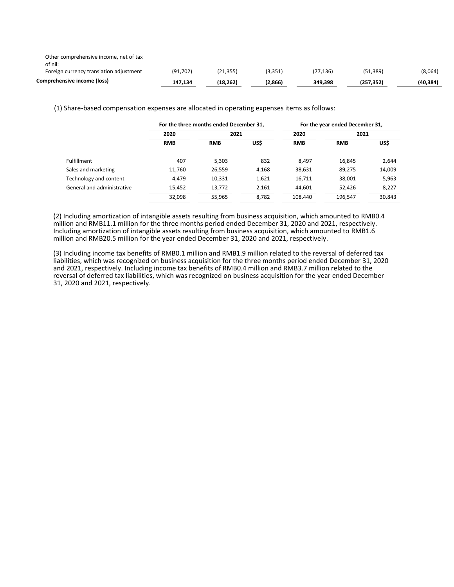Other comprehensive income, net of tax

| Comprehensive income (loss)             | 147,134   | (18,262 | 1866،∠. | 349.398   | (257,352) | (40,384 |
|-----------------------------------------|-----------|---------|---------|-----------|-----------|---------|
| Foreign currency translation adjustment | (91, 702) | '21,355 | (3,351  | (77, 136) | (51.389)  | (8,064) |
| of nil:                                 |           |         |         |           |           |         |

(1) Share-based compensation expenses are allocated in operating expenses items as follows:

|                            | For the three months ended December 31, |            |       | For the year ended December 31, |            |        |
|----------------------------|-----------------------------------------|------------|-------|---------------------------------|------------|--------|
|                            | 2020<br><b>RMB</b>                      | 2021       |       | 2020                            | 2021       |        |
|                            |                                         | <b>RMB</b> | US\$  | <b>RMB</b>                      | <b>RMB</b> | US\$   |
| <b>Fulfillment</b>         | 407                                     | 5.303      | 832   | 8.497                           | 16,845     | 2,644  |
| Sales and marketing        | 11,760                                  | 26,559     | 4,168 | 38,631                          | 89,275     | 14,009 |
| Technology and content     | 4,479                                   | 10,331     | 1,621 | 16,711                          | 38,001     | 5,963  |
| General and administrative | 15,452                                  | 13.772     | 2,161 | 44.601                          | 52.426     | 8,227  |
|                            | 32,098                                  | 55,965     | 8,782 | 108.440                         | 196,547    | 30.843 |

(2) Including amortization of intangible assets resulting from business acquisition, which amounted to RMB0.4 million and RMB11.1 million for the three months period ended December 31, 2020 and 2021, respectively. Including amortization of intangible assets resulting from business acquisition, which amounted to RMB1.6 million and RMB20.5 million for the year ended December 31, 2020 and 2021, respectively.

(3) Including income tax benefits of RMB0.1 million and RMB1.9 million related to the reversal of deferred tax liabilities, which was recognized on business acquisition for the three months period ended December 31, 2020 and 2021, respectively. Including income tax benefits of RMB0.4 million and RMB3.7 million related to the reversal of deferred tax liabilities, which was recognized on business acquisition for the year ended December 31, 2020 and 2021, respectively.